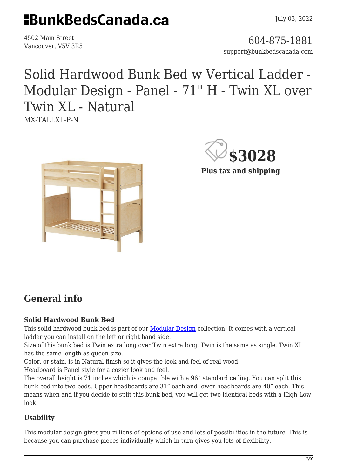# **HBunkBedsCanada.ca**

4502 Main Street

4502 Main Street<br>Vancouver, V5V 3R5 support@bunkbedscanada.com

## Solid Hardwood Bunk Bed w Vertical Ladder - Modular Design - Panel - 71" H - Twin XL over Twin XL - Natural MX-TALLXL-P-N





### **General info**

#### **Solid Hardwood Bunk Bed**

This solid hardwood bunk bed is part of our **Modular Design** collection. It comes with a vertical ladder you can install on the left or right hand side.

Size of this bunk bed is Twin extra long over Twin extra long. Twin is the same as single. Twin XL has the same length as queen size.

Color, or stain, is in Natural finish so it gives the look and feel of real wood.

Headboard is Panel style for a cozier look and feel.

The overall height is 71 inches which is compatible with a 96" standard ceiling. You can split this bunk bed into two beds. Upper headboards are 31" each and lower headboards are 40" each. This means when and if you decide to split this bunk bed, you will get two identical beds with a High-Low look.

#### **Usability**

This modular design gives you zillions of options of use and lots of possibilities in the future. This is because you can purchase pieces individually which in turn gives you lots of flexibility.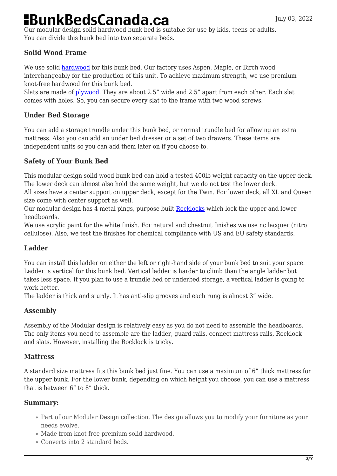# **BunkBedsCanada.ca**

Our modular design solid hardwood bunk bed is suitable for use by kids, teens or adults. You can divide this bunk bed into two separate beds.

#### **Solid Wood Frame**

We use solid [hardwood](https://en.wikipedia.org/wiki/Hardwood) for this bunk bed. Our factory uses Aspen, Maple, or Birch wood interchangeably for the production of this unit. To achieve maximum strength, we use premium knot-free hardwood for this bunk bed.

Slats are made of [plywood](https://en.wikipedia.org/wiki/Plywood). They are about 2.5" wide and 2.5" apart from each other. Each slat comes with holes. So, you can secure every slat to the frame with two wood screws.

#### **Under Bed Storage**

You can add a storage trundle under this bunk bed, or normal trundle bed for allowing an extra mattress. Also you can add an under bed dresser or a set of two drawers. These items are independent units so you can add them later on if you choose to.

#### **Safety of Your Bunk Bed**

This modular design solid wood bunk bed can hold a tested 400lb weight capacity on the upper deck. The lower deck can almost also hold the same weight, but we do not test the lower deck.

All sizes have a center support on upper deck, except for the Twin. For lower deck, all XL and Queen size come with center support as well.

Our modular design has 4 metal pings, purpose built [Rocklocks](https://bunkbedscanada.com/rock-locks-set-of-4.html) which lock the upper and lower headboards.

We use acrylic paint for the white finish. For natural and chestnut finishes we use nc lacquer (nitro cellulose). Also, we test the finishes for chemical compliance with US and EU safety standards.

#### **Ladder**

You can install this ladder on either the left or right-hand side of your bunk bed to suit your space. Ladder is vertical for this bunk bed. Vertical ladder is harder to climb than the angle ladder but takes less space. If you plan to use a trundle bed or underbed storage, a vertical ladder is going to work better.

The ladder is thick and sturdy. It has anti-slip grooves and each rung is almost 3" wide.

#### **Assembly**

Assembly of the Modular design is relatively easy as you do not need to assemble the headboards. The only items you need to assemble are the ladder, guard rails, connect mattress rails, Rocklock and slats. However, installing the Rocklock is tricky.

#### **Mattress**

A standard size mattress fits this bunk bed just fine. You can use a maximum of 6" thick mattress for the upper bunk. For the lower bunk, depending on which height you choose, you can use a mattress that is between 6" to 8" thick.

#### **Summary:**

- Part of our Modular Design collection. The design allows you to modify your furniture as your needs evolve.
- Made from knot free premium solid hardwood.
- Converts into 2 standard beds.